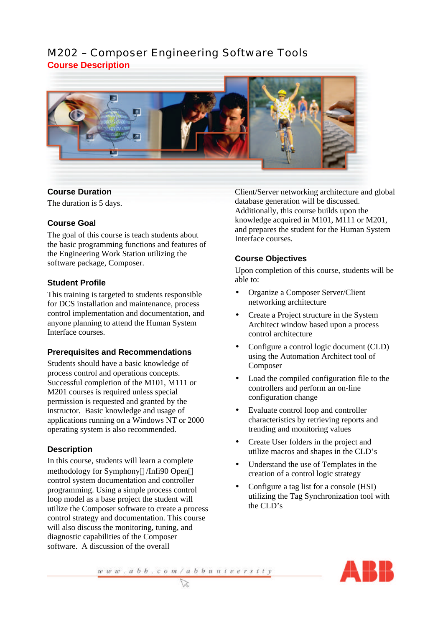# M202 – Composer Engineering Software Tools **Course Description**



### **Course Duration**

The duration is 5 days.

#### **Course Goal**

The goal of this course is teach students about the basic programming functions and features of the Engineering Work Station utilizing the software package, Composer.

#### **Student Profile**

This training is targeted to students responsible for DCS installation and maintenance, process control implementation and documentation, and anyone planning to attend the Human System Interface courses.

#### **Prerequisites and Recommendations**

Students should have a basic knowledge of process control and operations concepts. Successful completion of the M101, M111 or M201 courses is required unless special permission is requested and granted by the instructor. Basic knowledge and usage of applications running on a Windows NT or 2000 operating system is also recommended.

## **Description**

In this course, students will learn a complete methodology for Symphony®/Infi90 Open® control system documentation and controller programming. Using a simple process control loop model as a base project the student will utilize the Composer software to create a process control strategy and documentation. This course will also discuss the monitoring, tuning, and diagnostic capabilities of the Composer software. A discussion of the overall

Client/Server networking architecture and global database generation will be discussed. Additionally, this course builds upon the knowledge acquired in M101, M111 or M201, and prepares the student for the Human System Interface courses.

## **Course Objectives**

Upon completion of this course, students will be able to:

- Organize a Composer Server/Client networking architecture
- Create a Project structure in the System Architect window based upon a process control architecture
- Configure a control logic document (CLD) using the Automation Architect tool of Composer
- Load the compiled configuration file to the controllers and perform an on-line configuration change
- Evaluate control loop and controller characteristics by retrieving reports and trending and monitoring values
- Create User folders in the project and utilize macros and shapes in the CLD's
- Understand the use of Templates in the creation of a control logic strategy
- Configure a tag list for a console (HSI) utilizing the Tag Synchronization tool with the CLD's

 $\frac{w w w. a b b. c o m/a b b u n i v e r s i t y}{\infty}$